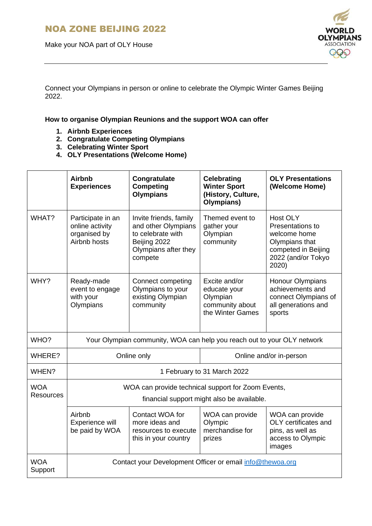

Connect your Olympians in person or online to celebrate the Olympic Winter Games Beijing 2022.

**How to organise Olympian Reunions and the support WOA can offer**

- **1. Airbnb Experiences**
- **2. Congratulate Competing Olympians**
- **3. Celebrating Winter Sport**
- **4. OLY Presentations (Welcome Home)**

|                                | <b>Airbnb</b><br><b>Experiences</b>                                                              | Congratulate<br><b>Competing</b><br><b>Olympians</b>                                                                  | <b>Celebrating</b><br><b>Winter Sport</b><br>(History, Culture,<br>Olympians)    | <b>OLY Presentations</b><br>(Welcome Home)                                                                                         |  |
|--------------------------------|--------------------------------------------------------------------------------------------------|-----------------------------------------------------------------------------------------------------------------------|----------------------------------------------------------------------------------|------------------------------------------------------------------------------------------------------------------------------------|--|
| WHAT?                          | Participate in an<br>online activity<br>organised by<br>Airbnb hosts                             | Invite friends, family<br>and other Olympians<br>to celebrate with<br>Beijing 2022<br>Olympians after they<br>compete | Themed event to<br>gather your<br>Olympian<br>community                          | <b>Host OLY</b><br><b>Presentations to</b><br>welcome home<br>Olympians that<br>competed in Beijing<br>2022 (and/or Tokyo<br>2020) |  |
| WHY?                           | Ready-made<br>event to engage<br>with your<br>Olympians                                          | Connect competing<br>Olympians to your<br>existing Olympian<br>community                                              | Excite and/or<br>educate your<br>Olympian<br>community about<br>the Winter Games | Honour Olympians<br>achievements and<br>connect Olympians of<br>all generations and<br>sports                                      |  |
| WHO?                           | Your Olympian community, WOA can help you reach out to your OLY network                          |                                                                                                                       |                                                                                  |                                                                                                                                    |  |
| WHERE?                         | Online only                                                                                      |                                                                                                                       | Online and/or in-person                                                          |                                                                                                                                    |  |
| WHEN?                          | 1 February to 31 March 2022                                                                      |                                                                                                                       |                                                                                  |                                                                                                                                    |  |
| <b>WOA</b><br><b>Resources</b> | WOA can provide technical support for Zoom Events,<br>financial support might also be available. |                                                                                                                       |                                                                                  |                                                                                                                                    |  |
|                                | Airbnb<br>Experience will<br>be paid by WOA                                                      | Contact WOA for<br>more ideas and<br>resources to execute<br>this in your country                                     | WOA can provide<br>Olympic<br>merchandise for<br>prizes                          | WOA can provide<br>OLY certificates and<br>pins, as well as<br>access to Olympic<br>images                                         |  |
| <b>WOA</b><br>Support          | Contact your Development Officer or email info@thewoa.org                                        |                                                                                                                       |                                                                                  |                                                                                                                                    |  |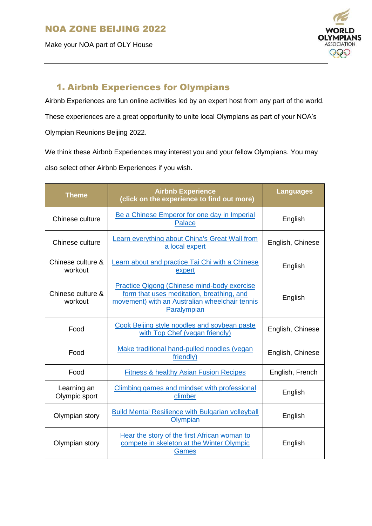

## 1. Airbnb Experiences for Olympians

Airbnb Experiences are fun online activities led by an expert host from any part of the world. These experiences are a great opportunity to unite local Olympians as part of your NOA's Olympian Reunions Beijing 2022.

We think these Airbnb Experiences may interest you and your fellow Olympians. You may also select other Airbnb Experiences if you wish.

| <b>Theme</b>                 | <b>Airbnb Experience</b><br>(click on the experience to find out more)                                                                                            | <b>Languages</b> |
|------------------------------|-------------------------------------------------------------------------------------------------------------------------------------------------------------------|------------------|
| Chinese culture              | Be a Chinese Emperor for one day in Imperial<br>Palace                                                                                                            | English          |
| Chinese culture              | <b>Learn everything about China's Great Wall from</b><br>a local expert                                                                                           | English, Chinese |
| Chinese culture &<br>workout | Learn about and practice Tai Chi with a Chinese<br>expert                                                                                                         | English          |
| Chinese culture &<br>workout | <b>Practice Qigong (Chinese mind-body exercise)</b><br>form that uses meditation, breathing, and<br>movement) with an Australian wheelchair tennis<br>Paralympian | English          |
| Food                         | Cook Beijing style noodles and soybean paste<br>with Top Chef (vegan friendly)                                                                                    | English, Chinese |
| Food                         | Make traditional hand-pulled noodles (vegan<br>friendly)                                                                                                          | English, Chinese |
| Food                         | <b>Fitness &amp; healthy Asian Fusion Recipes</b>                                                                                                                 | English, French  |
| Learning an<br>Olympic sport | Climbing games and mindset with professional<br>climber                                                                                                           | English          |
| Olympian story               | <b>Build Mental Resilience with Bulgarian volleyball</b><br>Olympian                                                                                              | English          |
| Olympian story               | Hear the story of the first African woman to<br>compete in skeleton at the Winter Olympic<br>Games                                                                | English          |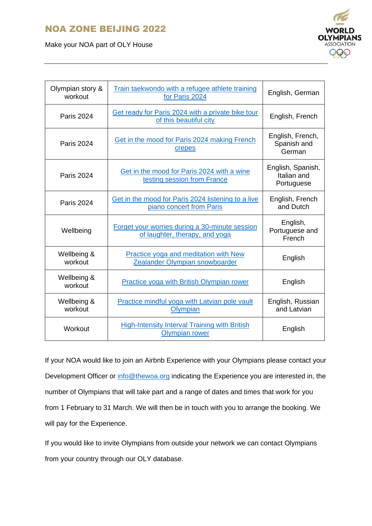### NOA ZONE BEIJING 2022





| Olympian story &<br>workout | Train taekwondo with a refugee athlete training<br>for Paris 2024                | English, German                                |
|-----------------------------|----------------------------------------------------------------------------------|------------------------------------------------|
| <b>Paris 2024</b>           | Get ready for Paris 2024 with a private bike tour<br>of this beautiful city      | English, French                                |
| <b>Paris 2024</b>           | Get in the mood for Paris 2024 making French<br>crepes                           | English, French,<br>Spanish and<br>German      |
| <b>Paris 2024</b>           | Get in the mood for Paris 2024 with a wine<br>testing session from France        | English, Spanish,<br>Italian and<br>Portuguese |
| <b>Paris 2024</b>           | Get in the mood for Paris 2024 listening to a live<br>piano concert from Paris   | English, French<br>and Dutch                   |
| Wellbeing                   | Forget your worries during a 30-minute session<br>of laughter, therapy, and yoga | English,<br>Portuguese and<br>French           |
| Wellbeing &<br>workout      | Practice yoga and meditation with New<br>Zealander Olympian snowboarder          | English                                        |
| Wellbeing &<br>workout      | Practice yoga with British Olympian rower                                        | English                                        |
| Wellbeing &<br>workout      | Practice mindful yoga with Latvian pole vault<br>Olympian                        | English, Russian<br>and Latvian                |
| Workout                     | <b>High-Intensity Interval Training with British</b><br><b>Olympian rower</b>    | English                                        |

If your NOA would like to join an Airbnb Experience with your Olympians please contact your Development Officer or [info@thewoa.org](mailto:info@thewoa.org) indicating the Experience you are interested in, the number of Olympians that will take part and a range of dates and times that work for you from 1 February to 31 March. We will then be in touch with you to arrange the booking. We will pay for the Experience.

If you would like to invite Olympians from outside your network we can contact Olympians from your country through our OLY database.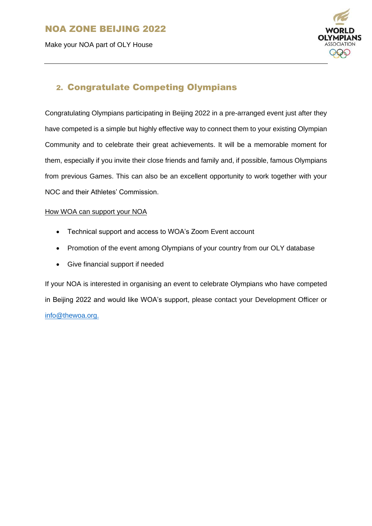

## 2. Congratulate Competing Olympians

Congratulating Olympians participating in Beijing 2022 in a pre-arranged event just after they have competed is a simple but highly effective way to connect them to your existing Olympian Community and to celebrate their great achievements. It will be a memorable moment for them, especially if you invite their close friends and family and, if possible, famous Olympians from previous Games. This can also be an excellent opportunity to work together with your NOC and their Athletes' Commission.

#### How WOA can support your NOA

- Technical support and access to WOA's Zoom Event account
- Promotion of the event among Olympians of your country from our OLY database
- Give financial support if needed

If your NOA is interested in organising an event to celebrate Olympians who have competed in Beijing 2022 and would like WOA's support, please contact your Development Officer or [info@thewoa.org.](mailto:info@thewoa.org)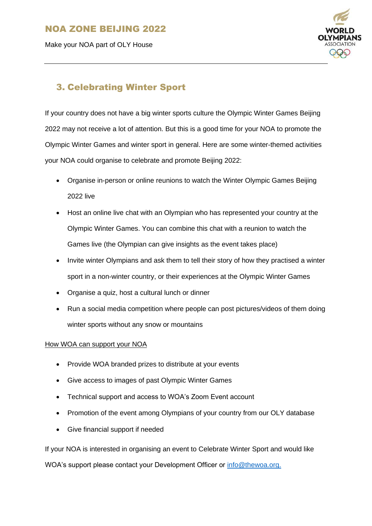

# 3. Celebrating Winter Sport

If your country does not have a big winter sports culture the Olympic Winter Games Beijing 2022 may not receive a lot of attention. But this is a good time for your NOA to promote the Olympic Winter Games and winter sport in general. Here are some winter-themed activities your NOA could organise to celebrate and promote Beijing 2022:

- Organise in-person or online reunions to watch the Winter Olympic Games Beijing 2022 live
- Host an online live chat with an Olympian who has represented your country at the Olympic Winter Games. You can combine this chat with a reunion to watch the Games live (the Olympian can give insights as the event takes place)
- Invite winter Olympians and ask them to tell their story of how they practised a winter sport in a non-winter country, or their experiences at the Olympic Winter Games
- Organise a quiz, host a cultural lunch or dinner
- Run a social media competition where people can post pictures/videos of them doing winter sports without any snow or mountains

#### How WOA can support your NOA

- Provide WOA branded prizes to distribute at your events
- Give access to images of past Olympic Winter Games
- Technical support and access to WOA's Zoom Event account
- Promotion of the event among Olympians of your country from our OLY database
- Give financial support if needed

If your NOA is interested in organising an event to Celebrate Winter Sport and would like WOA's support please contact your Development Officer or [info@thewoa.org.](mailto:info@thewoa.org)